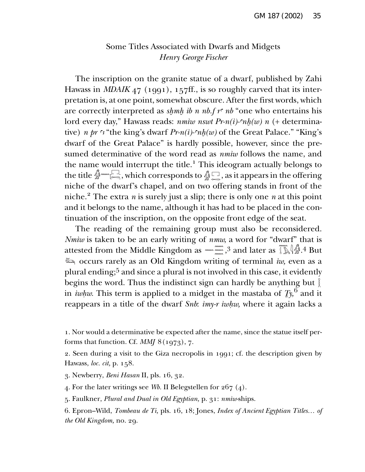## Some Titles Associated with Dwarfs and Midgets *Henry George Fischer*

The inscription on the granite statue of a dwarf, published by Zahi Hawass in *MDAIK* 47 (1991), 157ff., is so roughly carved that its interpretation is, at one point, somewhat obscure. After the first words, which are correctly interpreted as *shmh ib n nb.f r<sup>∈</sup> nb* "one who entertains his lord every day," Hawass reads: *nmiw nswt Pr-n(i)-∞nh(w) n* (+ determinative) *n pr*  $\cdot$  \* the king's dwarf *Pr-n(i)-* $\cdot$ nh(w) of the Great Palace." "King's dwarf of the Great Palace" is hardly possible, however, since the presumed determinative of the word read as *nmiw* follows the name, and the name would interrupt the title.<sup>1</sup> This ideogram actually belongs to the name would interrupt the title. I his ideogram actually belongs to the title  $\hat{M}$  as it appears in the offering niche of the dwarf's chapel, and on two offering stands in front of the niche.<sup>2</sup> The extra *n* is surely just a slip; there is only one *n* at this point and it belongs to the name, although it has had to be placed in the continuation of the inscription, on the opposite front edge of the seat.

The reading of the remaining group must also be reconsidered. *Nmiw* is taken to be an early writing of *nmw*, a word for "dwarf" that is<br>attested from the Middle Kingdom as  $\lim_{x \to \infty} 3$  and later as  $\lim_{x \to \infty} 1/\sqrt[3]{4}$  But attested from the Middle Kingdom as ~~~~~~~~~~~.3 and later as  $\int \delta \hat{A} \cdot A \cdot B$ ut steed from the middle hingdom as  $\sum_{n=1}^{\infty}$  and fater as  $\sum_{n=1}^{\infty}$ . But  $\sum_{n=1}^{\infty}$  occurs rarely as an Old Kingdom writing of terminal *iw*, even as a plural ending;5 and since a plural is not involved in this case, it evidently begins the word. Thus the indistinct sign can hardly be anything but  $\S$ in *iwhw*. This term is applied to a midget in the mastaba of  $T_y$ ,<sup>6</sup> and it reappears in a title of the dwarf *Snb*: *imy-r iwhw*, where it again lacks a

2. Seen during a visit to the Giza necropolis in 1991; cf. the description given by Hawass, *loc. cit,* p. 158.

3. Newberry, *Beni Hasan* II, pls. 16, 32.

4. For the later writings see *Wb.* II Belegstellen for 267 (4).

5. Faulkner, *Plural and Dual in Old Egyptian,* p. 31: *nm¡w-*ships.

<sup>1.</sup> Nor would a determinative be expected after the name, since the statue itself performs that function. Cf. *MMJ* 8 (1973), 7.

<sup>6.</sup> Epron–Wild, *Tombeau de Ti,* pls. 16, 18; Jones, *Index of Ancient Egyptian Titles… of the Old Kingdom,* no. 29.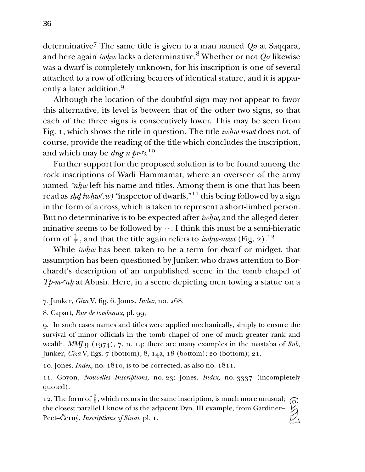determinative<sup>7</sup> The same title is given to a man named *Q<sub>r</sub>* at Saqqara, and here again *iwhw* lacks a determinative.<sup>8</sup> Whether or not *O<sub>3</sub>r* likewise was a dwarf is completely unknown, for his inscription is one of several attached to a row of offering bearers of identical stature, and it is apparently a later addition.9

Although the location of the doubtful sign may not appear to favor this alternative, its level is between that of the other two signs, so that each of the three signs is consecutively lower. This may be seen from Fig. 1, which shows the title in question. The title *iwhw nswt* does not, of course, provide the reading of the title which concludes the inscription, and which may be *dng n pr-* $\frac{n}{2}$ .<sup>10</sup>

Further support for the proposed solution is to be found among the rock inscriptions of Wadi Hammamat, where an overseer of the army named *™hw* left his name and titles. Among them is one that has been read as *s¢∂ ¡w¢w(.w) "*inspector of dwarfs,"11 this being followed by a sign in the form of a cross, which is taken to represent a short-limbed person. But no determinative is to be expected after *iwhw*, and the alleged determinative seems to be followed by  $\circ$ . I think this must be a semi-hieratic form of  $\frac{1}{\ast}$  , and that the title again refers to *iwhw-nswt* (Fig. 2).<sup>12</sup>

While *iwhw* has been taken to be a term for dwarf or midget, that assumption has been questioned by Junker, who draws attention to Borchardt's description of an unpublished scene in the tomb chapel of *Tp-m-∞nh* at Abusir. Here, in a scene depicting men towing a statue on a

- 7. Junker, *Gîza* V, fig. 6. Jones, *Index,* no. 268.
- 8. Capart, *Rue de tombeaux,* pl. 99,

9. In such cases names and titles were applied mechanically, simply to ensure the survival of minor officials in the tomb chapel of one of much greater rank and wealth. *MMJ* 9 (1974), 7, n. 14; there are many examples in the mastaba of *Snb,* Junker, *Gîza* V, figs. 7 (bottom), 8, 14a, 18 (bottom); 20 (bottom); 21.

10. Jones, *Index,* no. 1810, is to be corrected, as also no. 1811.

11. Goyon, *Nouvelles Inscriptions,* no. 23; Jones, *Index,* no. 3337 (incompletely quoted).

12. The form of  $\frac{8}{5}$ , which recurs in the same inscription, is much more unusual; the closest parallel I know of is the adjacent Dyn. III example, from Gardiner– Peet–Černý, *Inscriptions of Sinai*, pl. 1.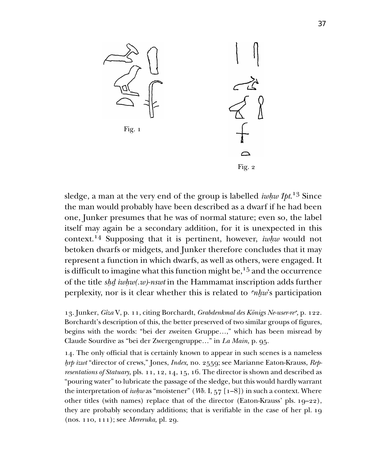

sledge, a man at the very end of the group is labelled *iwhw Ipt*.<sup>13</sup> Since the man would probably have been described as a dwarf if he had been one, Junker presumes that he was of normal stature; even so, the label itself may again be a secondary addition, for it is unexpected in this context.<sup>14</sup> Supposing that it is pertinent, however, *iwhw* would not betoken dwarfs or midgets, and Junker therefore concludes that it may represent a function in which dwarfs, as well as others, were engaged. It is difficult to imagine what this function might be,  $15$  and the occurrence of the title *s¢∂ ¡w¢w(.w)-nswt* in the Hammamat inscription adds further perplexity, nor is it clear whether this is related to *™hw*'s participation

13. Junker, *Gîza* V, p. 11, citing Borchardt, *Grabdenkmal des Königs Ne-user-re*", p. 122. Borchardt's description of this, the better preserved of two similar groups of figures, begins with the words: "bei der zweiten Gruppe…," which has been misread by Claude Sourdive as "bei der Zwergengruppe…" in *La Main,* p. 95.

14. The only official that is certainly known to appear in such scenes is a nameless *∞rp ¡zwt* "director of crews," Jones, *Index,* no. 2559; see Marianne Eaton-Krauss, *Representations of Statuary,* pls. 11, 12, 14, 15, 16. The director is shown and described as "pouring water" to lubricate the passage of the sledge, but this would hardly warrant the interpretation of *¡w¢w* as "moistener" (*Wb.* I, 57 [1–8]) in such a context. Where other titles (with names) replace that of the director (Eaton-Krauss' pls. 19–22), they are probably secondary additions; that is verifiable in the case of her pl. 19 (nos. 110, 111); see *Mereruka,* pl. 29.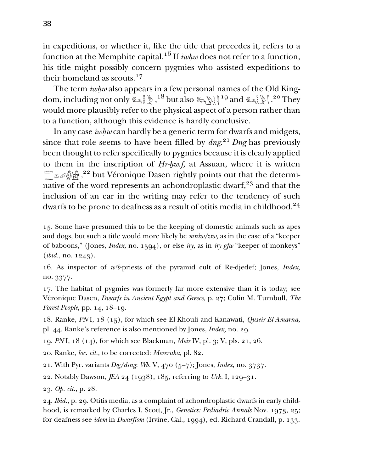in expeditions, or whether it, like the title that precedes it, refers to a function at the Memphite capital.<sup>16</sup> If  $iwhw$  does not refer to a function, his title might possibly concern pygmies who assisted expeditions to their homeland as scouts.<sup>17</sup>

The term *iwhw* also appears in a few personal names of the Old King- $\text{dom, including not only } \mathbb{Z}_{\text{max}}^{\{18\}}$  but also  $\mathbb{Z}_{\text{max}}^{\{19\}}$  and  $\mathbb{Z}_{\text{max}}^{\{19\}}$ .<sup>20</sup> They would more plausibly refer to the physical aspect of a person rather than to a function, although this evidence is hardly conclusive.

In any case *iwhw* can hardly be a generic term for dwarfs and midgets, since that role seems to have been filled by *dng*. <sup>21</sup> *Dng* has previously been thought to refer specifically to pygmies because it is clearly applied to them in the inscription of *Hr-hw.f*, at Assuan, where it is written to them in the inscription of *Hr-hw.j*, at Assuan, where it is written<br>E  $\omega$   $\hat{\mathbb{A}}$   $\hat{\mathbb{A}}$   $^{22}$  but Véronique Dasen rightly points out that the determinative of the word represents an achondroplastic dwarf, $23$  and that the inclusion of an ear in the writing may refer to the tendency of such dwarfs to be prone to deafness as a result of otitis media in childhood.<sup>24</sup>

15. Some have presumed this to be the keeping of domestic animals such as apes and dogs, but such a title would more likely be  $\textit{mini}/\textit{zsw}$ , as in the case of a "keeper of baboons," (Jones, *Index,* no. 1594), or else *¡ry,* as in *¡ry gfw* "keeper of monkeys" (*ibid.,* no. 1243).

16. As inspector of *w™b-*priests of the pyramid cult of Re-djedef; Jones, *Index,* no. 3377.

17. The habitat of pygmies was formerly far more extensive than it is today; see Véronique Dasen, *Dwarfs in Ancient Egypt and Greece,* p. 27; Colin M. Turnbull, *The Forest People,* pp. 14, 18–19.

18. Ranke, *PN* I, 18 (15), for which see El-Khouli and Kanawati, *Quseir El-Amarna,* pl. 44. Ranke's reference is also mentioned by Jones, *Index,* no. 29.

19. *PN* I, 18 (14), for which see Blackman, *Meir* IV, pl. 3; V, pls. 21, 26.

20. Ranke, *loc. cit.,* to be corrected: *Mereruka,* pl. 82.

21. With Pyr. variants *Dsg/dsng*: *Wb. V*, 470 (5–7); Jones, *Index*, no. 3737.

22. Notably Dawson, *JEA* 24 (1938), 185, referring to *Urk.* I, 129–31.

23. *Op. cit.,* p. 28.

24. *Ibid.,* p. 29. Otitis media, as a complaint of achondroplastic dwarfs in early childhood, is remarked by Charles I. Scott, Jr., *Genetics: Pediadric Annals* Nov. 1973, 25; for deafness see *idem* in *Dwarfism* (Irvine, Cal., 1994), ed. Richard Crandall, p. 133.